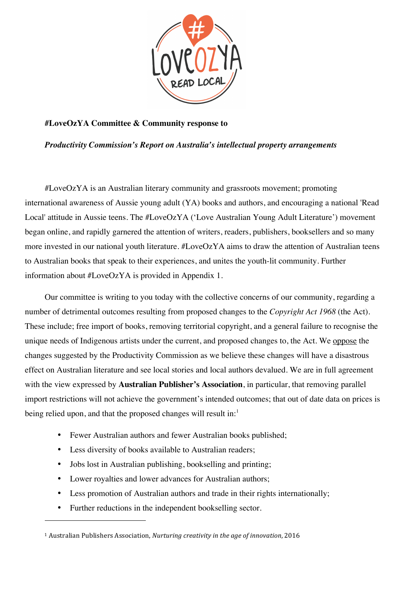

## **#LoveOzYA Committee & Community response to**

*Productivity Commission's Report on Australia's intellectual property arrangements*

#LoveOzYA is an Australian literary community and grassroots movement; promoting international awareness of Aussie young adult (YA) books and authors, and encouraging a national 'Read Local' attitude in Aussie teens. The #LoveOzYA ('Love Australian Young Adult Literature') movement began online, and rapidly garnered the attention of writers, readers, publishers, booksellers and so many more invested in our national youth literature. #LoveOzYA aims to draw the attention of Australian teens to Australian books that speak to their experiences, and unites the youth-lit community. Further information about #LoveOzYA is provided in Appendix 1.

Our committee is writing to you today with the collective concerns of our community, regarding a number of detrimental outcomes resulting from proposed changes to the *Copyright Act 1968* (the Act). These include; free import of books, removing territorial copyright, and a general failure to recognise the unique needs of Indigenous artists under the current, and proposed changes to, the Act. We oppose the changes suggested by the Productivity Commission as we believe these changes will have a disastrous effect on Australian literature and see local stories and local authors devalued. We are in full agreement with the view expressed by **Australian Publisher's Association**, in particular, that removing parallel import restrictions will not achieve the government's intended outcomes; that out of date data on prices is being relied upon, and that the proposed changes will result in: $<sup>1</sup>$ </sup>

- Fewer Australian authors and fewer Australian books published;
- Less diversity of books available to Australian readers;
- Jobs lost in Australian publishing, bookselling and printing;
- Lower royalties and lower advances for Australian authors;
- Less promotion of Australian authors and trade in their rights internationally;
- Further reductions in the independent bookselling sector.

<sup>&</sup>lt;sup>1</sup> Australian Publishers Association, *Nurturing creativity in the age of innovation*, 2016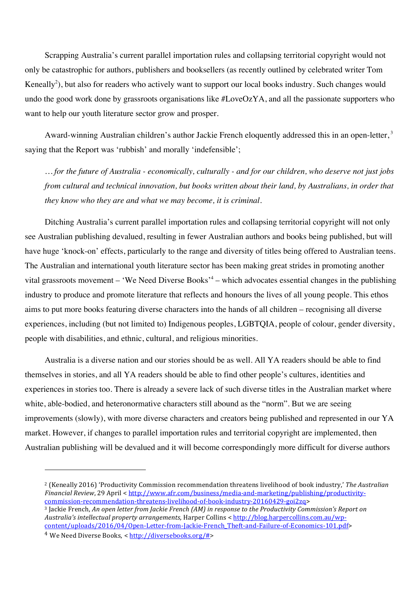Scrapping Australia's current parallel importation rules and collapsing territorial copyright would not only be catastrophic for authors, publishers and booksellers (as recently outlined by celebrated writer Tom Keneally<sup>2</sup>), but also for readers who actively want to support our local books industry. Such changes would undo the good work done by grassroots organisations like #LoveOzYA, and all the passionate supporters who want to help our youth literature sector grow and prosper.

Award-winning Australian children's author Jackie French eloquently addressed this in an open-letter,<sup>3</sup> saying that the Report was 'rubbish' and morally 'indefensible';

*… for the future of Australia - economically, culturally - and for our children, who deserve not just jobs from cultural and technical innovation, but books written about their land, by Australians, in order that they know who they are and what we may become, it is criminal.*

Ditching Australia's current parallel importation rules and collapsing territorial copyright will not only see Australian publishing devalued, resulting in fewer Australian authors and books being published, but will have huge 'knock-on' effects, particularly to the range and diversity of titles being offered to Australian teens. The Australian and international youth literature sector has been making great strides in promoting another vital grassroots movement – 'We Need Diverse Books'<sup>4</sup> – which advocates essential changes in the publishing industry to produce and promote literature that reflects and honours the lives of all young people. This ethos aims to put more books featuring diverse characters into the hands of all children – recognising all diverse experiences, including (but not limited to) Indigenous peoples, LGBTQIA, people of colour, gender diversity, people with disabilities, and ethnic, cultural, and religious minorities.

Australia is a diverse nation and our stories should be as well. All YA readers should be able to find themselves in stories, and all YA readers should be able to find other people's cultures, identities and experiences in stories too. There is already a severe lack of such diverse titles in the Australian market where white, able-bodied, and heteronormative characters still abound as the "norm". But we are seeing improvements (slowly), with more diverse characters and creators being published and represented in our YA market. However, if changes to parallel importation rules and territorial copyright are implemented, then Australian publishing will be devalued and it will become correspondingly more difficult for diverse authors

<sup>&</sup>lt;sup>2</sup> (Keneally 2016) 'Productivity Commission recommendation threatens livelihood of book industry,' The Australian *Financial Review*, 29 April < http://www.afr.com/business/media-and-marketing/publishing/productivitycommission-recommendation-threatens-livelihood-of-book-industry-20160429-goi2zq> 

<sup>&</sup>lt;sup>3</sup> Jackie French, An open letter from Jackie French (AM) in response to the Productivity Commission's Report on *Australia's intellectual property arrangements*, Harper Collins < http://blog.harpercollins.com.au/wpcontent/uploads/2016/04/Open-Letter-from-Jackie-French\_Theft-and-Failure-of-Economics-101.pdf>

<sup>&</sup>lt;sup>4</sup> We Need Diverse Books, < http://diversebooks.org/#>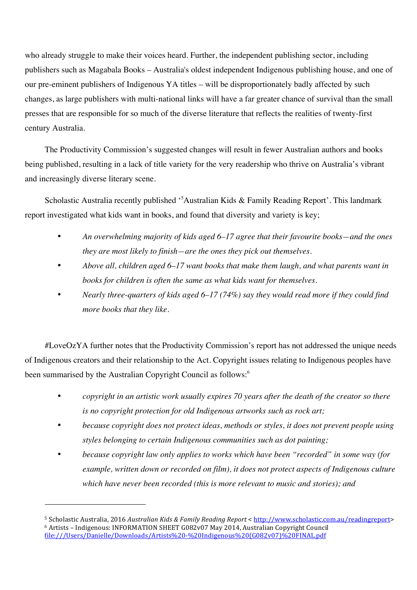who already struggle to make their voices heard. Further, the independent publishing sector, including publishers such as Magabala Books – Australia's oldest independent Indigenous publishing house, and one of our pre-eminent publishers of Indigenous YA titles – will be disproportionately badly affected by such changes, as large publishers with multi-national links will have a far greater chance of survival than the small presses that are responsible for so much of the diverse literature that reflects the realities of twenty-first century Australia.

The Productivity Commission's suggested changes will result in fewer Australian authors and books being published, resulting in a lack of title variety for the very readership who thrive on Australia's vibrant and increasingly diverse literary scene.

Scholastic Australia recently published '<sup>5</sup> Australian Kids & Family Reading Report'. This landmark report investigated what kids want in books, and found that diversity and variety is key;

- *An overwhelming majority of kids aged 6–17 agree that their favourite books—and the ones they are most likely to finish—are the ones they pick out themselves.*
- *Above all, children aged 6–17 want books that make them laugh, and what parents want in books for children is often the same as what kids want for themselves.*
- *Nearly three-quarters of kids aged 6–17 (74%) say they would read more if they could find more books that they like.*

#LoveOzYA further notes that the Productivity Commission's report has not addressed the unique needs of Indigenous creators and their relationship to the Act. Copyright issues relating to Indigenous peoples have been summarised by the Australian Copyright Council as follows:<sup>6</sup>

- *copyright in an artistic work usually expires 70 years after the death of the creator so there is no copyright protection for old Indigenous artworks such as rock art;*
- *because copyright does not protect ideas, methods or styles, it does not prevent people using styles belonging to certain Indigenous communities such as dot painting;*
- *because copyright law only applies to works which have been "recorded" in some way (for example, written down or recorded on film), it does not protect aspects of Indigenous culture which have never been recorded (this is more relevant to music and stories); and*

<sup>&</sup>lt;sup>5</sup> Scholastic Australia, 2016 *Australian Kids & Family Reading Report* < http://www.scholastic.com.au/readingreport> <sup>6</sup> Artists - Indigenous: INFORMATION SHEET G082v07 May 2014, Australian Copyright Council file:///Users/Danielle/Downloads/Artists%20-%20Indigenous%20(G082v07)%20FINAL.pdf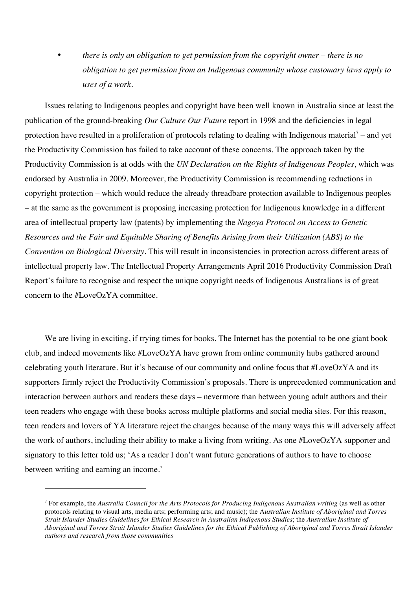• *there is only an obligation to get permission from the copyright owner – there is no obligation to get permission from an Indigenous community whose customary laws apply to uses of a work.*

Issues relating to Indigenous peoples and copyright have been well known in Australia since at least the publication of the ground-breaking *Our Culture Our Future* report in 1998 and the deficiencies in legal protection have resulted in a proliferation of protocols relating to dealing with Indigenous material<sup>7</sup> – and yet the Productivity Commission has failed to take account of these concerns. The approach taken by the Productivity Commission is at odds with the *UN Declaration on the Rights of Indigenous Peoples*, which was endorsed by Australia in 2009. Moreover, the Productivity Commission is recommending reductions in copyright protection – which would reduce the already threadbare protection available to Indigenous peoples – at the same as the government is proposing increasing protection for Indigenous knowledge in a different area of intellectual property law (patents) by implementing the *Nagoya Protocol on Access to Genetic Resources and the Fair and Equitable Sharing of Benefits Arising from their Utilization (ABS) to the Convention on Biological Diversity*. This will result in inconsistencies in protection across different areas of intellectual property law. The Intellectual Property Arrangements April 2016 Productivity Commission Draft Report's failure to recognise and respect the unique copyright needs of Indigenous Australians is of great concern to the #LoveOzYA committee.

We are living in exciting, if trying times for books. The Internet has the potential to be one giant book club, and indeed movements like #LoveOzYA have grown from online community hubs gathered around celebrating youth literature. But it's because of our community and online focus that #LoveOzYA and its supporters firmly reject the Productivity Commission's proposals. There is unprecedented communication and interaction between authors and readers these days – nevermore than between young adult authors and their teen readers who engage with these books across multiple platforms and social media sites. For this reason, teen readers and lovers of YA literature reject the changes because of the many ways this will adversely affect the work of authors, including their ability to make a living from writing. As one #LoveOzYA supporter and signatory to this letter told us; 'As a reader I don't want future generations of authors to have to choose between writing and earning an income.'

<sup>7</sup> For example, the *Australia Council for the Arts Protocols for Producing Indigenous Australian writing* (as well as other protocols relating to visual arts, media arts; performing arts; and music); the A*ustralian Institute of Aboriginal and Torres Strait Islander Studies Guidelines for Ethical Research in Australian Indigenous Studies*; the *Australian Institute of Aboriginal and Torres Strait Islander Studies Guidelines for the Ethical Publishing of Aboriginal and Torres Strait Islander authors and research from those communities*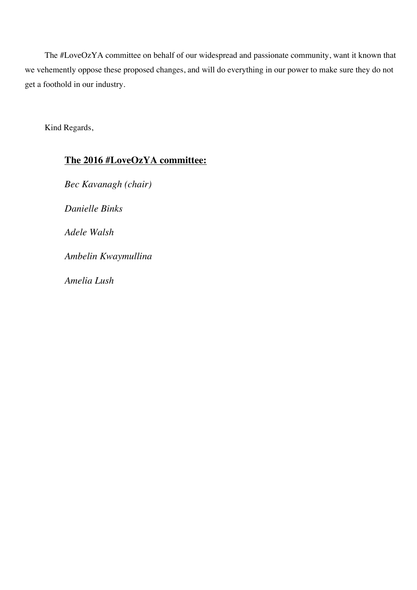The #LoveOzYA committee on behalf of our widespread and passionate community, want it known that we vehemently oppose these proposed changes, and will do everything in our power to make sure they do not get a foothold in our industry.

Kind Regards,

# **The 2016 #LoveOzYA committee:**

*Bec Kavanagh (chair) Danielle Binks Adele Walsh Ambelin Kwaymullina Amelia Lush*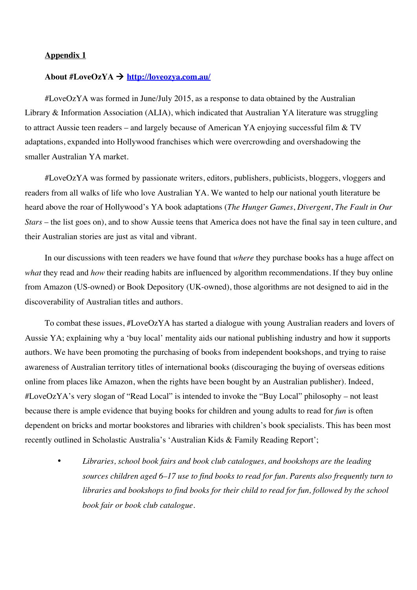### **Appendix 1**

#### **About #LoveOzYA** ! **http://loveozya.com.au/**

#LoveOzYA was formed in June/July 2015, as a response to data obtained by the Australian Library & Information Association (ALIA), which indicated that Australian YA literature was struggling to attract Aussie teen readers – and largely because of American YA enjoying successful film & TV adaptations, expanded into Hollywood franchises which were overcrowding and overshadowing the smaller Australian YA market.

#LoveOzYA was formed by passionate writers, editors, publishers, publicists, bloggers, vloggers and readers from all walks of life who love Australian YA. We wanted to help our national youth literature be heard above the roar of Hollywood's YA book adaptations (*The Hunger Games*, *Divergent*, *The Fault in Our Stars* – the list goes on), and to show Aussie teens that America does not have the final say in teen culture, and their Australian stories are just as vital and vibrant.

In our discussions with teen readers we have found that *where* they purchase books has a huge affect on *what* they read and *how* their reading habits are influenced by algorithm recommendations. If they buy online from Amazon (US-owned) or Book Depository (UK-owned), those algorithms are not designed to aid in the discoverability of Australian titles and authors.

To combat these issues, #LoveOzYA has started a dialogue with young Australian readers and lovers of Aussie YA; explaining why a 'buy local' mentality aids our national publishing industry and how it supports authors. We have been promoting the purchasing of books from independent bookshops, and trying to raise awareness of Australian territory titles of international books (discouraging the buying of overseas editions online from places like Amazon, when the rights have been bought by an Australian publisher). Indeed, #LoveOzYA's very slogan of "Read Local" is intended to invoke the "Buy Local" philosophy – not least because there is ample evidence that buying books for children and young adults to read for *fun* is often dependent on bricks and mortar bookstores and libraries with children's book specialists. This has been most recently outlined in Scholastic Australia's 'Australian Kids & Family Reading Report';

• *Libraries, school book fairs and book club catalogues, and bookshops are the leading sources children aged 6–17 use to find books to read for fun. Parents also frequently turn to libraries and bookshops to find books for their child to read for fun, followed by the school book fair or book club catalogue.*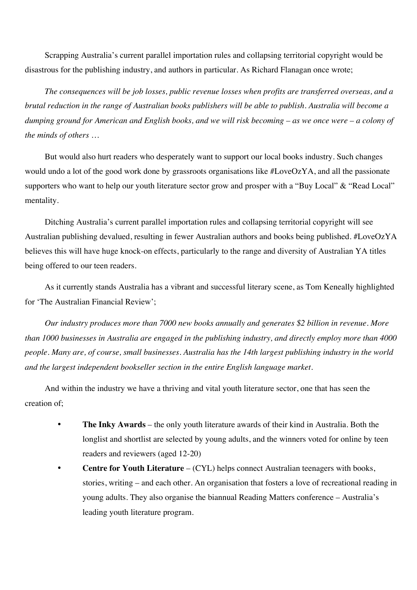Scrapping Australia's current parallel importation rules and collapsing territorial copyright would be disastrous for the publishing industry, and authors in particular. As Richard Flanagan once wrote;

*The consequences will be job losses, public revenue losses when profits are transferred overseas, and a brutal reduction in the range of Australian books publishers will be able to publish. Australia will become a dumping ground for American and English books, and we will risk becoming – as we once were – a colony of the minds of others …* 

But would also hurt readers who desperately want to support our local books industry. Such changes would undo a lot of the good work done by grassroots organisations like #LoveOzYA, and all the passionate supporters who want to help our youth literature sector grow and prosper with a "Buy Local" & "Read Local" mentality.

Ditching Australia's current parallel importation rules and collapsing territorial copyright will see Australian publishing devalued, resulting in fewer Australian authors and books being published. #LoveOzYA believes this will have huge knock-on effects, particularly to the range and diversity of Australian YA titles being offered to our teen readers.

As it currently stands Australia has a vibrant and successful literary scene, as Tom Keneally highlighted for 'The Australian Financial Review';

*Our industry produces more than 7000 new books annually and generates \$2 billion in revenue. More than 1000 businesses in Australia are engaged in the publishing industry, and directly employ more than 4000 people. Many are, of course, small businesses. Australia has the 14th largest publishing industry in the world and the largest independent bookseller section in the entire English language market.* 

And within the industry we have a thriving and vital youth literature sector, one that has seen the creation of;

- **The Inky Awards** the only youth literature awards of their kind in Australia. Both the longlist and shortlist are selected by young adults, and the winners voted for online by teen readers and reviewers (aged 12-20)
- **Centre for Youth Literature** (CYL) helps connect Australian teenagers with books, stories, writing – and each other. An organisation that fosters a love of recreational reading in young adults. They also organise the biannual Reading Matters conference – Australia's leading youth literature program.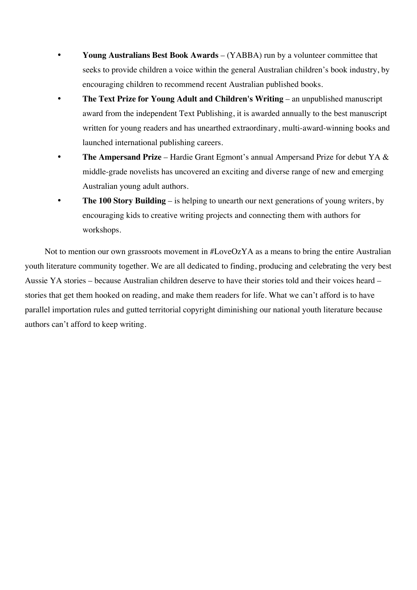- **Young Australians Best Book Awards** (YABBA) run by a volunteer committee that seeks to provide children a voice within the general Australian children's book industry, by encouraging children to recommend recent Australian published books.
- **The Text Prize for Young Adult and Children's Writing** an unpublished manuscript award from the independent Text Publishing, it is awarded annually to the best manuscript written for young readers and has unearthed extraordinary, multi-award-winning books and launched international publishing careers.
- **The Ampersand Prize** Hardie Grant Egmont's annual Ampersand Prize for debut YA & middle-grade novelists has uncovered an exciting and diverse range of new and emerging Australian young adult authors.
- **The 100 Story Building** is helping to unearth our next generations of young writers, by encouraging kids to creative writing projects and connecting them with authors for workshops.

Not to mention our own grassroots movement in #LoveOzYA as a means to bring the entire Australian youth literature community together. We are all dedicated to finding, producing and celebrating the very best Aussie YA stories – because Australian children deserve to have their stories told and their voices heard – stories that get them hooked on reading, and make them readers for life. What we can't afford is to have parallel importation rules and gutted territorial copyright diminishing our national youth literature because authors can't afford to keep writing.